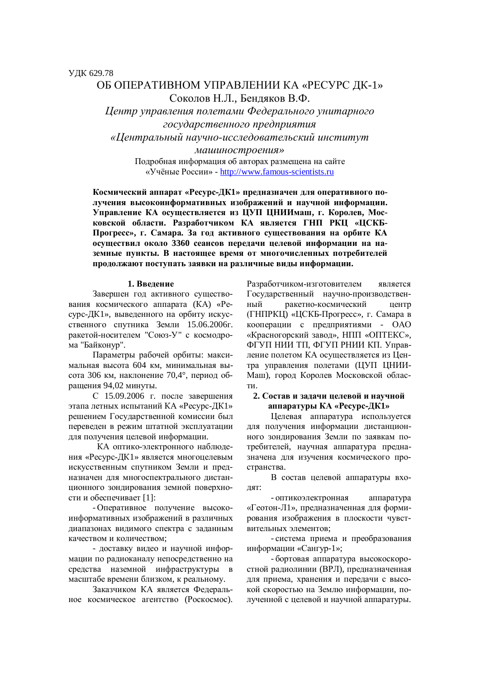**УДК 629.78** 

# ОБ ОПЕРАТИВНОМ УПРАВЛЕНИИ КА «РЕСУРС ЛК-1» Соколов Н.Л., Бендяков В.Ф.

*ɐɟɧɬɪɭɩɪɚɜɥɟɧɢɹɩɨɥɟɬɚɦɢɎɟɞɟɪɚɥɶɧɨɝɨɭɧɢɬɚɪɧɨɝɨ*  $20$ сударственного предприятия «Центральный научно-исследовательский институт

> *ɦɚɲɢɧɨɫɬɪɨɟɧɢɹ»*  Подробная информация об авторах размещена на сайте «Учёные России» - http://www.famous-scientists.ru

Космический аппарат «Ресурс-ДК1» предназначен для оперативного получения высокоинформативных изображений и научной информации. Управление КА осуществляется из ЦУП ЦНИИмаш, г. Королев, Московской области. Разработчиком КА является ГНП РКЦ «ЦСКБ-Прогресс», г. Самара. За год активного существования на орбите КА **осуществил около 3360 сеансов передачи целевой информации на на**земные пункты. В настоящее время от многочисленных потребителей продолжают поступать заявки на различные виды информации.

#### **1. Введение**

Завершен год активного существования космического аппарата (КА) «Ресурс-ДК1», выведенного на орбиту искусственного спутника Земли 15.06.2006г. ракетой-носителем "Союз-У" с космодрома "Байконур".

Параметры рабочей орбиты: максимальная высота 604 км, минимальная высота 306 км, наклонение 70,4°, период обрашения 94,02 минуты.

С 15.09.2006 г. после завершения этапа летных испытаний КА «Ресурс-ДК1» решением Государственной комиссии был переведен в режим штатной эксплуатации для получения целевой информации.

КА оптико-электронного наблюдения «Ресурс-ДК1» является многоцелевым искусственным спутником Земли и предназначен для многоспектрального дистанционного зондирования земной поверхности и обеспечивает [1]:

- Оперативное получение высокоинформативных изображений в различных диапазонах видимого спектра с заданным качеством и количеством;

- доставку видео и научной информации по радиоканалу непосредственно на средства наземной инфраструктуры в масштабе времени близком, к реальному.

Заказчиком КА является Федеральное космическое агентство (Роскосмос). Разработчиком-изготовителем является Государственный научно-производственный ракетно-космический центр (ГНПРКЦ) «ЦСКБ-Прогресс», г. Самара в кооперации с предприятиями - ОАО «Красногорский завод», НПП «ОПТЕКС», ФГУП НИИ ТП, ФГУП РНИИ КП. Управление полетом КА осуществляется из Центра управления полетами (ЦУП ЦНИИ-Маш), город Королев Московской области.

#### 2. Состав и задачи целевой и научной **ɚɩɩɚɪɚɬɭɪɵɄȺ «ɊɟɫɭɪɫȾɄ1»**

Целевая аппаратура используется для получения информации дистанционного зондирования Земли по заявкам потребителей, научная аппаратура предназначена для изучения космического пространства.

В состав целевой аппаратуры вхо-ДЯТ:

- оптикоэлектронная аппаратура «Геотон-Л1», предназначенная для формирования изображения в плоскости чувствительных элементов;

- система приема и преобразования информации «Сангур-1»;

- бортовая аппаратура высокоскоростной ралиолинии (ВРЛ), предназначенная для приема, хранения и передачи с высокой скоростью на Землю информации, полученной с целевой и научной аппаратуры.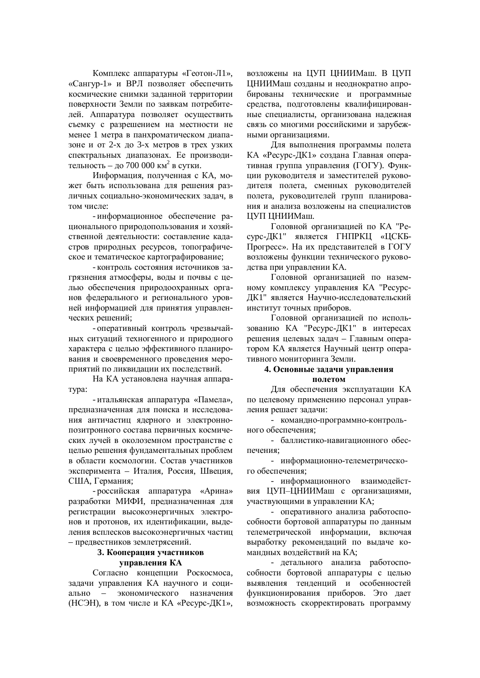Комплекс аппаратуры «Геотон-Л1», «Сангур-1» и ВРЛ позволяет обеспечить космические снимки заланной территории поверхности Земли по заявкам потребителей. Аппаратура позволяет осуществить съемку с разрешением на местности не менее 1 метра в панхроматическом диапазоне и от 2-х до 3-х метров в трех узких спектральных диапазонах. Ее производительность – до 700 000 км<sup>2</sup> в сутки.

Информация, полученная с КА, может быть использована для решения различных социально-экономических задач, в том числе:

- информационное обеспечение рационального природопользования и хозяйственной деятельности: составление каластров природных ресурсов, топографическое и тематическое картографирование;

- контроль состояния источников загрязнения атмосферы, воды и почвы с целью обеспечения природоохранных органов федерального и регионального уровней информацией для принятия управленческих решений;

- оперативный контроль чрезвычайных ситуаций техногенного и природного характера с целью эффективного планирования и своевременного проведения мероприятий по ликвидации их последствий.

На КА установлена научная аппаратура:

- итальянская аппаратура «Памела», предназначенная для поиска и исследования античастиц ядерного и электроннопозитронного состава первичных космических лучей в околоземном пространстве с целью решения фундаментальных проблем в области космологии. Состав участников эксперимента – Италия, Россия, Швеция, США. Германия:

- российская аппаратура «Арина» разработки МИФИ, предназначенная для регистрации высокоэнергичных электронов и протонов, их идентификации, выделения всплесков высокоэнергичных частиц – предвестников землетрясений.

### 3. Кооперация участников **VIIDABJICHUS** KA

Согласно концепции Роскосмоса, залачи управления КА научного и социально – экономического назначения (НСЭН), в том числе и КА «Ресурс-ДК1»,

возложены на ЦУП ЦНИИМаш. В ЦУП ЦНИИМаш созданы и неоднократно апробированы технические и программные средства, подготовлены квалифицированные специалисты, организована надежная связь со многими российскими и зарубежными организациями.

Для выполнения программы полета КА «Ресурс-ДК1» создана Главная оперативная группа управления (ГОГУ). Функции руководителя и заместителей руководителя полета, сменных руководителей полета, руководителей групп планирования и анализа возложены на специалистов ЦУП ЦНИИМаш.

Головной организацией по КА "Ресурс-ДК1" является ГНПРКЦ «ЦСКБ-Прогресс». На их представителей в ГОГУ возложены функции технического руководства при управлении КА.

Головной организацией по наземному комплексу управления КА "Ресурс-ДК1" является Научно-исследовательский институт точных приборов.

Головной организацией по использованию КА "Ресурс-ДК1" в интересах решения целевых задач – Главным оператором КА является Научный центр оперативного мониторинга Земли.

## 4. Основные задачи управления

### **ПОЛЕТОМ**

Для обеспечения эксплуатации КА по целевому применению персонал управления решает задачи:

- командно-программно-контрольного обеспечения<sup>•</sup>

- баллистико-навигационного обеспечения;

- информационно-телеметрического обеспечения;

- информационного взаимодействия ЦУП-ЦНИИМаш с организациями, участвующими в управлении КА;

- оперативного анализа работоспособности бортовой аппаратуры по данным телеметрической информации, включая выработку рекомендаций по выдаче командных воздействий на КА:

- летального анализа работоспособности бортовой аппаратуры с целью выявления тенденций и особенностей функционирования приборов. Это дает возможность скорректировать программу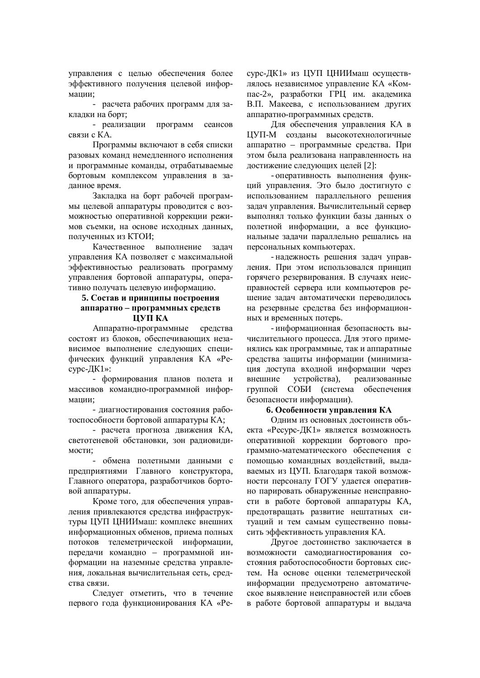управления с целью обеспечения более эффективного получения целевой информании:

- расчета рабочих программ для закладки на борт;

- реализации программ сеансов связи с КА.

Программы включают в себя списки разовых команд немедленного исполнения и программные команды, отрабатываемые бортовым комплексом управления в заданное время.

Закладка на борт рабочей программы целевой аппаратуры проводится с возможностью оперативной коррекции режимов съемки, на основе исходных данных, полученных из КТОИ:

Качественное выполнение залач управления КА позволяет с максимальной эффективностью реализовать программу управления бортовой аппаратуры, оперативно получать целевую информацию.

### 5. Состав и принципы построения **аппаратно – программных средств ЩУП КА**

Аппаратно-программные средства состоят из блоков, обеспечивающих независимое выполнение следующих специфических функций управления КА «Ресурс-ДК1»:

- формирования планов полета и массивов командно-программной информации;

- диагностирования состояния работоспособности бортовой аппаратуры КА;

- расчета прогноза движения КА, светотеневой обстановки, зон радиовидимости;

- обмена полетными данными с предприятиями Главного конструктора, Главного оператора, разработчиков бортовой аппаратуры.

Кроме того, для обеспечения управления привлекаются средства инфраструктуры ЦУП ЦНИИмаш: комплекс внешних информационных обменов, приема полных потоков телеметрической информации. передачи командно – программной информации на наземные средства управления, локальная вычислительная сеть, средства связи.

Следует отметить, что в течение первого года функционирования КА «Ресурс-ДК1» из ЦУП ЦНИИмаш осуществлялось независимое управление КА «Компас-2», разработки ГРЦ им. акалемика В.П. Макеева, с использованием других аппаратно-программных средств.

Для обеспечения управления КА в ЦУП-М созданы высокотехнологичные аппаратно – программные средства. При этом была реализована направленность на достижение следующих целей [2]:

- оперативность выполнения функций управления. Это было достигнуто с использованием параллельного решения задач управления. Вычислительный сервер выполнял только функции базы данных о полетной информации, а все функциональные задачи параллельно решались на персональных компьютерах.

- надежность решения задач управления. При этом использовался принцип горячего резервирования. В случаях неисправностей сервера или компьютеров решение задач автоматически переводилось на резервные средства без информационных и временных потерь.

- информационная безопасность вычислительного процесса. Для этого применялись как программные, так и аппаратные средства защиты информации (минимизация доступа входной информации через внешние устройства), реализованные группой СОБИ (система обеспечения безопасности информации).

#### **6. Особенности управления КА**

Олним из основных лостоинств объекта «Ресурс-ДК1» является возможность оперативной коррекции бортового программно-математического обеспечения с помощью командных воздействий, выдаваемых из ЦУП. Благодаря такой возможности персоналу ГОГУ улается оперативно парировать обнаруженные неисправности в работе бортовой аппаратуры КА, предотвращать развитие нештатных ситуаций и тем самым существенно повысить эффективность управления КА.

Другое достоинство заключается в возможности самодиагностирования состояния работоспособности бортовых систем. На основе оценки телеметрической информации предусмотрено автоматическое выявление неисправностей или сбоев в работе бортовой аппаратуры и выдача